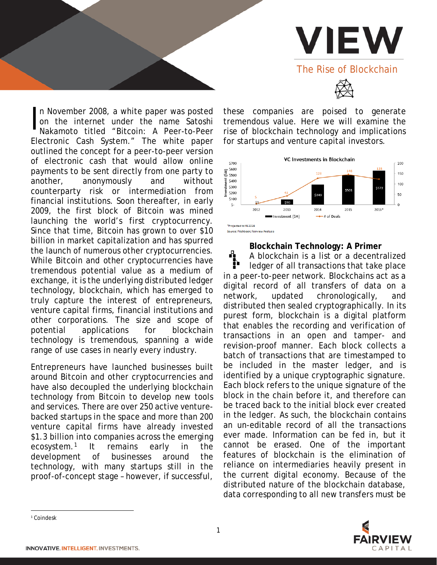

n November 2008, a white paper was posted on the internet under the name Satoshi Nakamoto titled "Bitcoin: A Peer-to-Peer Electronic Cash System." The white paper outlined the concept for a peer-to-peer version of electronic cash that would allow online payments to be sent directly from one party to another, anonymously and without counterparty risk or intermediation from financial institutions. Soon thereafter, in early 2009, the first block of Bitcoin was mined launching the world's first cryptocurrency. Since that time, Bitcoin has grown to over \$10 billion in market capitalization and has spurred the launch of numerous other cryptocurrencies. While Bitcoin and other cryptocurrencies have tremendous potential value as a medium of exchange, it is the underlying distributed ledger technology, blockchain, which has emerged to truly capture the interest of entrepreneurs, venture capital firms, financial institutions and other corporations. The size and scope of potential applications for blockchain technology is tremendous, spanning a wide range of use cases in nearly every industry. I

Entrepreneurs have launched businesses built around Bitcoin and other cryptocurrencies and have also decoupled the underlying blockchain technology from Bitcoin to develop new tools and services. There are over 250 active venturebacked startups in the space and more than 200 venture capital firms have already invested \$1.3 billion into companies across the emerging ecosystem.[1](#page-0-0) It remains early in the development of businesses around the technology, with many startups still in the proof-of-concept stage – however, if successful,

these companies are poised to generate tremendous value. Here we will examine the rise of blockchain technology and implications for startups and venture capital investors.



Source: Pitchbook; Fairview Analysi:

**Blockchain Technology: A Primer**

Д A blockchain is a list or a decentralized ledger of all transactions that take place in a peer-to-peer network. Blockchains act as a digital record of all transfers of data on a network, updated chronologically, and distributed then sealed cryptographically. In its purest form, blockchain is a digital platform that enables the recording and verification of transactions in an open and tamper- and revision-proof manner. Each block collects a batch of transactions that are timestamped to be included in the master ledger, and is identified by a unique cryptographic signature. Each block refers to the unique signature of the block in the chain before it, and therefore can be traced back to the initial block ever created in the ledger. As such, the blockchain contains an un-editable record of all the transactions ever made. Information can be fed in, but it cannot be erased. One of the important features of blockchain is the elimination of reliance on intermediaries heavily present in the current digital economy. Because of the distributed nature of the blockchain database, data corresponding to all new transfers must be



<span id="page-0-0"></span><sup>&</sup>lt;sup>1</sup> Coindesk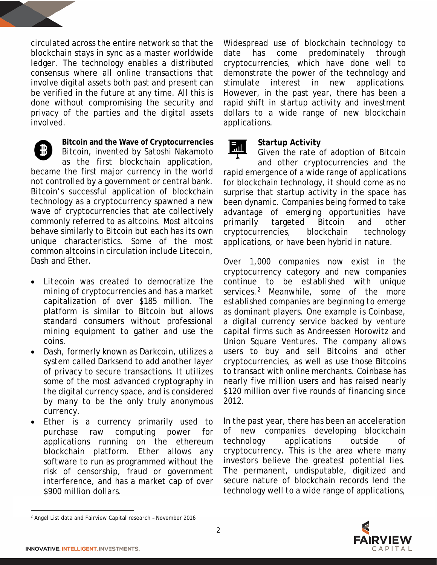circulated across the entire network so that the blockchain stays in sync as a master worldwide ledger. The technology enables a distributed consensus where all online transactions that involve digital assets both past and present can be verified in the future at any time. All this is done without compromising the security and privacy of the parties and the digital assets involved.

**Bitcoin and the Wave of Cryptocurrencies** Bitcoin, invented by Satoshi Nakamoto as the first blockchain application,

became the first major currency in the world not controlled by a government or central bank. Bitcoin's successful application of blockchain technology as a cryptocurrency spawned a new wave of cryptocurrencies that ate collectively commonly referred to as altcoins. Most altcoins behave similarly to Bitcoin but each has its own unique characteristics. Some of the most common altcoins in circulation include Litecoin, Dash and Ether.

- *Litecoin* was created to democratize the mining of cryptocurrencies and has a market capitalization of over \$185 million. The platform is similar to Bitcoin but allows standard consumers without professional mining equipment to gather and use the coins.
- *Dash*, formerly known as *Darkcoin*, utilizes a system called Darksend to add another layer of privacy to secure transactions. It utilizes some of the most advanced cryptography in the digital currency space, and is considered by many to be the only truly anonymous currency.
- *Ether* is a currency primarily used to purchase raw computing power for applications running on the ethereum blockchain platform. Ether allows any software to run as programmed without the risk of censorship, fraud or government interference, and has a market cap of over \$900 million dollars.

Widespread use of blockchain technology to date has come predominately through cryptocurrencies, which have done well to demonstrate the power of the technology and stimulate interest in new applications. However, in the past year, there has been a rapid shift in startup activity and investment dollars to a wide range of new blockchain applications.

### **Startup Activity**

П. Given the rate of adoption of Bitcoin and other cryptocurrencies and the rapid emergence of a wide range of applications for blockchain technology, it should come as no surprise that startup activity in the space has been dynamic. Companies being formed to take advantage of emerging opportunities have primarily targeted Bitcoin and other cryptocurrencies, blockchain technology applications, or have been hybrid in nature.

Over 1,000 companies now exist in the cryptocurrency category and new companies continue to be established with unique services.<sup>[2](#page-1-0)</sup> Meanwhile, some of the more established companies are beginning to emerge as dominant players. One example is *Coinbase*, a digital currency service backed by venture capital firms such as Andreessen Horowitz and Union Square Ventures. The company allows users to buy and sell Bitcoins and other cryptocurrencies, as well as use those Bitcoins to transact with online merchants. *Coinbase* has nearly five million users and has raised nearly \$120 million over five rounds of financing since 2012.

In the past year, there has been an acceleration of new companies developing blockchain technology applications outside of cryptocurrency. This is the area where many investors believe the greatest potential lies. The permanent, undisputable, digitized and secure nature of blockchain records lend the technology well to a wide range of applications,



 $\overline{\phantom{a}}$ 

<span id="page-1-0"></span><sup>&</sup>lt;sup>2</sup> Angel List data and Fairview Capital research - November 2016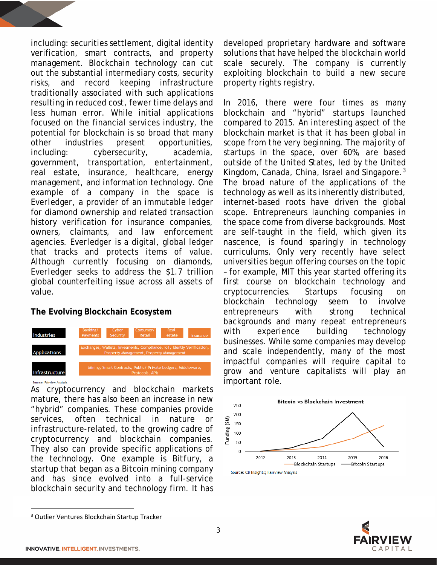including: securities settlement, digital identity verification, smart contracts, and property management. Blockchain technology can cut out the substantial intermediary costs, security risks, and record keeping infrastructure traditionally associated with such applications resulting in reduced cost, fewer time delays and less human error. While initial applications focused on the financial services industry, the potential for blockchain is so broad that many other industries present opportunities, including: cybersecurity, academia, government, transportation, entertainment, real estate, insurance, healthcare, energy management, and information technology. One example of a company in the space is *Everledger*, a provider of an immutable ledger for diamond ownership and related transaction history verification for insurance companies, owners, claimants, and law enforcement agencies. *Everledger* is a digital, global ledger that tracks and protects items of value. Although currently focusing on diamonds, *Everledger* seeks to address the \$1.7 trillion global counterfeiting issue across all assets of value.

#### **The Evolving Blockchain Ecosystem**



As cryptocurrency and blockchain markets mature, there has also been an increase in new "hybrid" companies. These companies provide services, often technical in nature or infrastructure-related, to the growing cadre of cryptocurrency and blockchain companies. They also can provide specific applications of the technology. One example is *Bitfury*, a startup that began as a Bitcoin mining company and has since evolved into a full-service blockchain security and technology firm. It has developed proprietary hardware and software solutions that have helped the blockchain world scale securely. The company is currently exploiting blockchain to build a new secure property rights registry.

In 2016, there were four times as many blockchain and "hybrid" startups launched compared to 2015. An interesting aspect of the blockchain market is that it has been global in scope from the very beginning. The majority of startups in the space, over 60%, are based outside of the United States, led by the United Kingdom, Canada, China, Israel and Singapore.[3](#page-2-0) The broad nature of the applications of the technology as well as its inherently distributed, internet-based roots have driven the global scope. Entrepreneurs launching companies in the space come from diverse backgrounds. Most are self-taught in the field, which given its nascence, is found sparingly in technology curriculums. Only very recently have select universities begun offering courses on the topic – for example, MIT this year started offering its first course on blockchain technology and cryptocurrencies. Startups focusing on blockchain technology seem to involve entrepreneurs with strong technical backgrounds and many repeat entrepreneurs with experience building technology businesses. While some companies may develop and scale independently, many of the most impactful companies will require capital to grow and venture capitalists will play an important role.





<span id="page-2-0"></span> <sup>3</sup> Outlier Ventures Blockchain Startup Tracker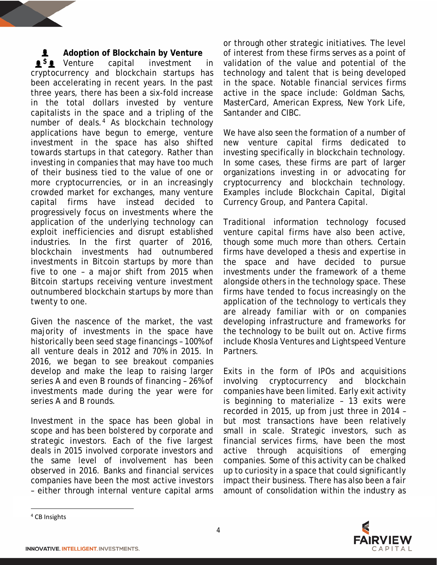#### **Adoption of Blockchain by Venture** ł.

**1<sup>5</sup>1** Venture capital investment in cryptocurrency and blockchain startups has been accelerating in recent years. In the past three years, there has been a six-fold increase in the total dollars invested by venture capitalists in the space and a tripling of the number of deals.<sup>[4](#page-3-0)</sup> As blockchain technology applications have begun to emerge, venture investment in the space has also shifted towards startups in that category. Rather than investing in companies that may have too much of their business tied to the value of one or more cryptocurrencies, or in an increasingly crowded market for exchanges, many venture capital firms have instead decided to progressively focus on investments where the application of the underlying technology can exploit inefficiencies and disrupt established industries. In the first quarter of 2016, blockchain investments had outnumbered investments in Bitcoin startups by more than five to one – a major shift from 2015 when Bitcoin startups receiving venture investment outnumbered blockchain startups by more than twenty to one.

Given the nascence of the market, the vast majority of investments in the space have historically been seed stage financings – 100% of all venture deals in 2012 and 70% in 2015. In 2016, we began to see breakout companies develop and make the leap to raising larger series A and even B rounds of financing – 26% of investments made during the year were for series A and B rounds.

Investment in the space has been global in scope and has been bolstered by corporate and strategic investors. Each of the five largest deals in 2015 involved corporate investors and the same level of involvement has been observed in 2016. Banks and financial services companies have been the most active investors – either through internal venture capital arms or through other strategic initiatives. The level of interest from these firms serves as a point of validation of the value and potential of the technology and talent that is being developed in the space. Notable financial services firms active in the space include: Goldman Sachs, MasterCard, American Express, New York Life, Santander and CIBC.

We have also seen the formation of a number of new venture capital firms dedicated to investing specifically in blockchain technology. In some cases, these firms are part of larger organizations investing in or advocating for cryptocurrency and blockchain technology. Examples include Blockchain Capital, Digital Currency Group, and Pantera Capital.

Traditional information technology focused venture capital firms have also been active, though some much more than others. Certain firms have developed a thesis and expertise in the space and have decided to pursue investments under the framework of a theme alongside others in the technology space. These firms have tended to focus increasingly on the application of the technology to verticals they are already familiar with or on companies developing infrastructure and frameworks for the technology to be built out on. Active firms include Khosla Ventures and Lightspeed Venture Partners.

Exits in the form of IPOs and acquisitions involving cryptocurrency and blockchain companies have been limited. Early exit activity is beginning to materialize – 13 exits were recorded in 2015, up from just three in 2014 – but most transactions have been relatively small in scale. Strategic investors, such as financial services firms, have been the most active through acquisitions of emerging companies. Some of this activity can be chalked up to curiosity in a space that could significantly impact their business. There has also been a fair amount of consolidation within the industry as



<span id="page-3-0"></span> <sup>4</sup> CB Insights